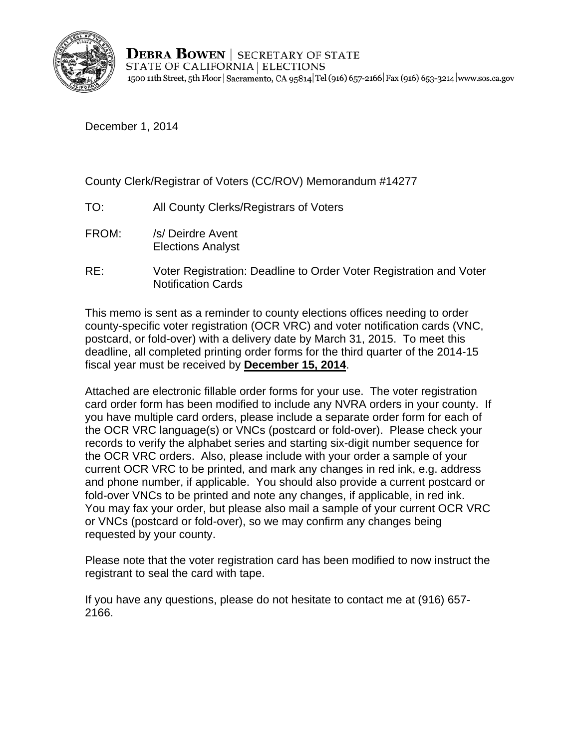

**DEBRA BOWEN** | SECRETARY OF STATE STATE OF CALIFORNIA | ELECTIONS 1500 11th Street, 5th Floor | Sacramento, CA 95814 Tel (916) 657-2166 | Fax (916) 653-3214 | www.sos.ca.gov

December 1, 2014

## County Clerk/Registrar of Voters (CC/ROV) Memorandum #14277

- TO: All County Clerks/Registrars of Voters
- FROM: /s/ Deirdre Avent Elections Analyst
- RE: Voter Registration: Deadline to Order Voter Registration and Voter Notification Cards

This memo is sent as a reminder to county elections offices needing to order county-specific voter registration (OCR VRC) and voter notification cards (VNC, postcard, or fold-over) with a delivery date by March 31, 2015. To meet this deadline, all completed printing order forms for the third quarter of the 2014-15 fiscal year must be received by **December 15, 2014**.

Attached are electronic fillable order forms for your use. The voter registration card order form has been modified to include any NVRA orders in your county. If you have multiple card orders, please include a separate order form for each of the OCR VRC language(s) or VNCs (postcard or fold-over). Please check your records to verify the alphabet series and starting six-digit number sequence for the OCR VRC orders. Also, please include with your order a sample of your current OCR VRC to be printed, and mark any changes in red ink, e.g. address and phone number, if applicable. You should also provide a current postcard or fold-over VNCs to be printed and note any changes, if applicable, in red ink. You may fax your order, but please also mail a sample of your current OCR VRC or VNCs (postcard or fold-over), so we may confirm any changes being requested by your county.

Please note that the voter registration card has been modified to now instruct the registrant to seal the card with tape.

If you have any questions, please do not hesitate to contact me at (916) 657- 2166.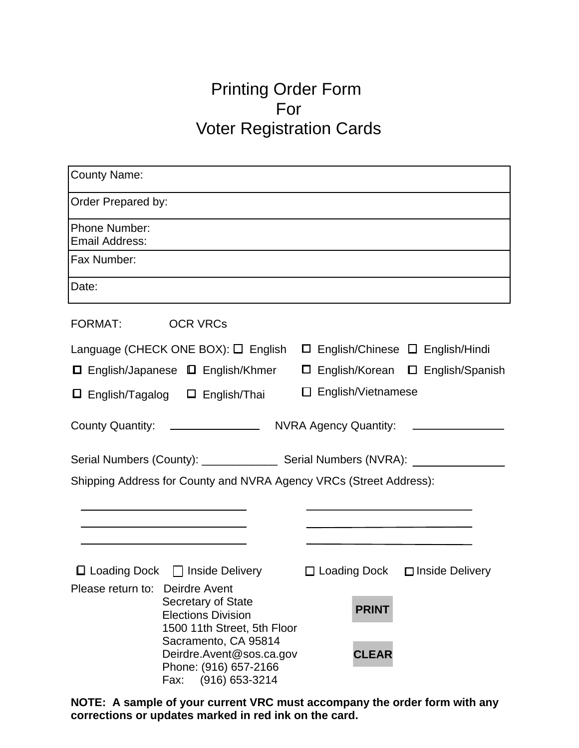## Printing Order Form For Voter Registration Cards

| <b>County Name:</b>                                                                                               |                                                                                 |  |  |  |
|-------------------------------------------------------------------------------------------------------------------|---------------------------------------------------------------------------------|--|--|--|
| Order Prepared by:                                                                                                |                                                                                 |  |  |  |
| <b>Phone Number:</b><br><b>Email Address:</b>                                                                     |                                                                                 |  |  |  |
| Fax Number:                                                                                                       |                                                                                 |  |  |  |
| Date:                                                                                                             |                                                                                 |  |  |  |
| FORMAT: OCR VRCs                                                                                                  |                                                                                 |  |  |  |
| Language (CHECK ONE BOX): □ English □ English/Chinese □ English/Hindi                                             |                                                                                 |  |  |  |
| □ English/Japanese □ English/Khmer                                                                                | □ English/Korean □ English/Spanish                                              |  |  |  |
| $\Box$ English/Tagalog $\Box$ English/Thai                                                                        | $\Box$ English/Vietnamese                                                       |  |  |  |
|                                                                                                                   |                                                                                 |  |  |  |
|                                                                                                                   |                                                                                 |  |  |  |
| Shipping Address for County and NVRA Agency VRCs (Street Address):                                                |                                                                                 |  |  |  |
| the contract of the contract of the contract of the contract of the contract of                                   | the contract of the contract of the contract of the contract of the contract of |  |  |  |
|                                                                                                                   |                                                                                 |  |  |  |
| <b>□ Loading Dock</b> □ Inside Delivery                                                                           | $\Box$ Loading Dock $\Box$ Inside Delivery                                      |  |  |  |
| Please return to: Deirdre Avent<br>Secretary of State<br><b>Elections Division</b><br>1500 11th Street, 5th Floor | <b>PRINT</b>                                                                    |  |  |  |
| Sacramento, CA 95814<br>Deirdre.Avent@sos.ca.gov<br>Phone: (916) 657-2166<br>(916) 653-3214<br>Fax:               | <b>CLEAR</b>                                                                    |  |  |  |

**NOTE: A sample of your current VRC must accompany the order form with any corrections or updates marked in red ink on the card.**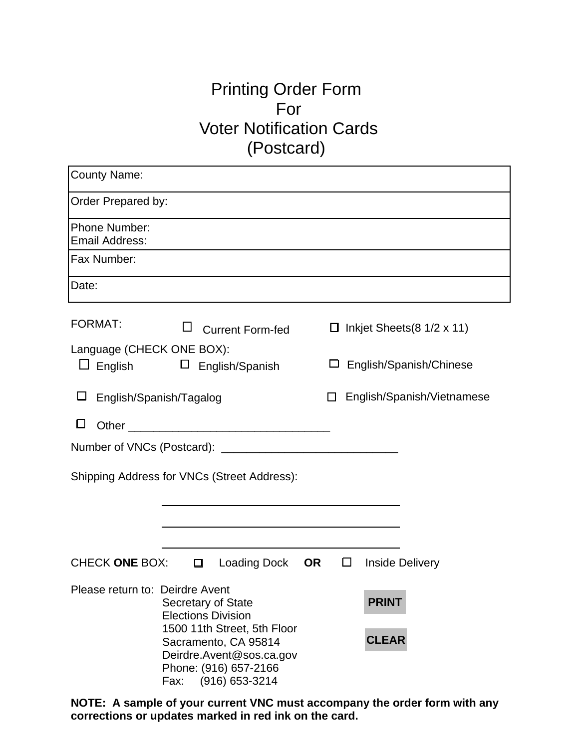## Printing Order Form For Voter Notification Cards (Postcard)

| <b>County Name:</b>                    |                                                                                                                                    |                                               |
|----------------------------------------|------------------------------------------------------------------------------------------------------------------------------------|-----------------------------------------------|
| Order Prepared by:                     |                                                                                                                                    |                                               |
| <b>Phone Number:</b><br>Email Address: |                                                                                                                                    |                                               |
| Fax Number:                            |                                                                                                                                    |                                               |
| Date:                                  |                                                                                                                                    |                                               |
| <b>FORMAT:</b>                         | $\Box$<br><b>Current Form-fed</b>                                                                                                  | Inkjet Sheets $(8\ 1/2 \times 11)$<br>$\Box$  |
| Language (CHECK ONE BOX):              | $\Box$ English $\Box$ English/Spanish                                                                                              | English/Spanish/Chinese                       |
|                                        | English/Spanish/Tagalog                                                                                                            | English/Spanish/Vietnamese                    |
| $\Box$                                 |                                                                                                                                    |                                               |
|                                        |                                                                                                                                    |                                               |
|                                        | Shipping Address for VNCs (Street Address):                                                                                        |                                               |
|                                        |                                                                                                                                    |                                               |
|                                        |                                                                                                                                    |                                               |
| CHECK ONE BOX:                         | <b>Loading Dock</b><br>$\Box$                                                                                                      | <b>OR</b><br>$\Box$<br><b>Inside Delivery</b> |
| Please return to: Deirdre Avent        | Secretary of State<br><b>Elections Division</b>                                                                                    | <b>PRINT</b>                                  |
|                                        | 1500 11th Street, 5th Floor<br>Sacramento, CA 95814<br>Deirdre.Avent@sos.ca.gov<br>Phone: (916) 657-2166<br>(916) 653-3214<br>Fax: | <b>CLEAR</b>                                  |

**NOTE: A sample of your current VNC must accompany the order form with any corrections or updates marked in red ink on the card.**